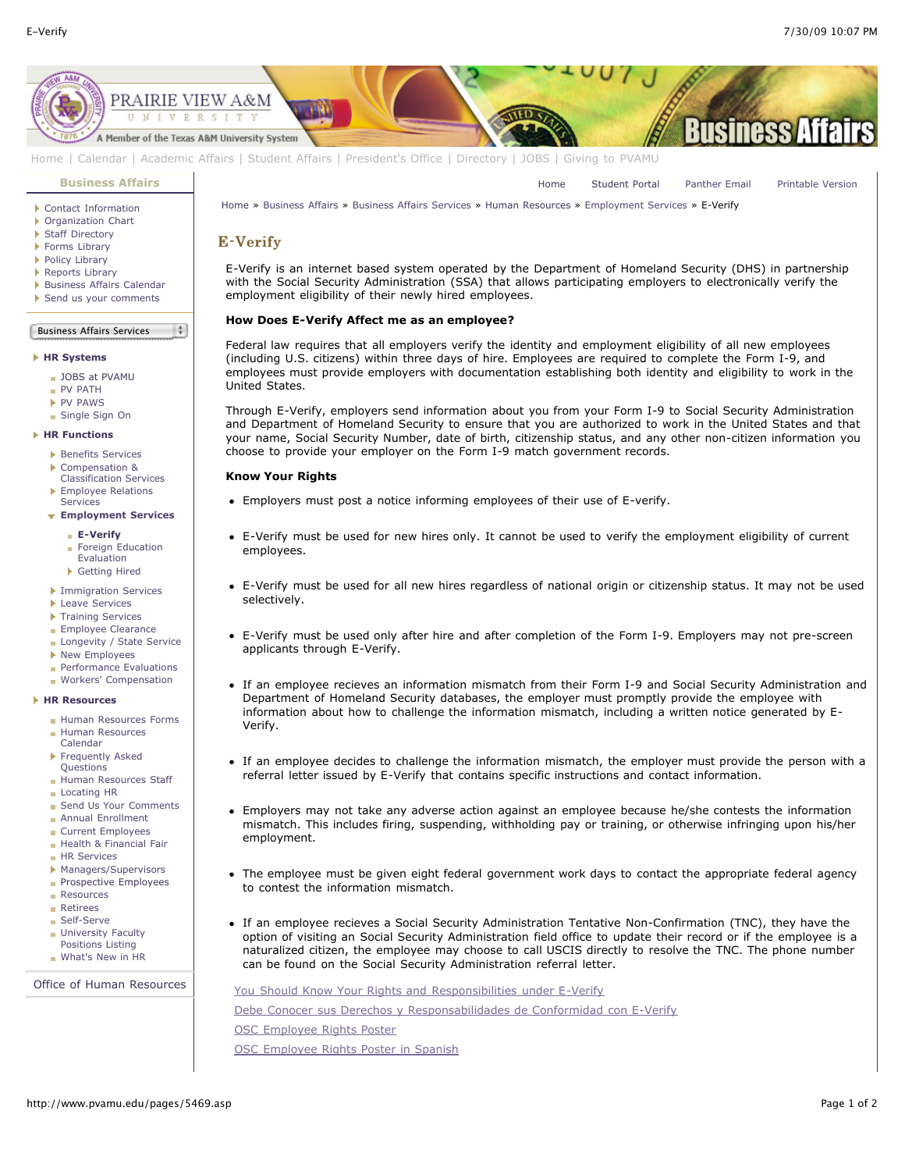[Home](http://www.pvamu.edu/pages/1.asp) [Student Portal](http://panthertracks.pvamu.edu/) [Panther Email](http://www.pvamu.edu/pages/1740.asp) [Printable Version](http://www.pvamu.edu/print/5469.asp)



[Home](http://www.pvamu.edu/pages/1.asp) | [Calendar](http://www.pvamu.edu/pages/222.asp) | [Academic Affairs](http://www.pvamu.edu/pages/116.asp) | [Student Affairs](http://www.pvamu.edu/pages/1441.asp) | [President's Office](http://www.pvamu.edu/pages/117.asp) | [Directory](http://www.pvamu.edu/pages/225.asp) | [JOBS](http://www.pvamu.edu/pages/118.asp) | [Giving to PVAMU](http://www.pvamu.edu/giving)

#### **[Business Affairs](http://www.pvamu.edu/pages/102.asp)**

- [Contact Information](http://www.pvamu.edu/pages/527.asp)
- [Organization Chart](http://www.pvamu.edu/pages/528.asp)
- ▶ [Staff Directory](http://www.pvamu.edu/pages/529.asp)
- [Forms Library](http://www.pvamu.edu/pages/531.asp)
- ▶ [Policy Library](http://www.pvamu.edu/pages/532.asp)
- ▶ [Reports Library](http://www.pvamu.edu/pages/533.asp) **[Business Affairs Calendar](http://www.pvamu.edu/pages/534.asp)**
- [Send us your comments](http://www.pvamu.edu/pages/535.asp)

#### Business Affairs Services  $\frac{1}{2}$

### **[HR Systems](http://www.pvamu.edu/pages/555.asp)**

- [JOBS at PVAMU](http://www.pvamu.edu/pages/118.asp)
- [PV PATH](http://www.pvamu.edu/pages/1996.asp)
- [PV PAWS](http://www.pvamu.edu/pages/1997.asp)
- [Single Sign On](http://www.pvamu.edu/pages/684.asp)

# **[HR Functions](http://www.pvamu.edu/pages/555.asp)**

- **[Benefits Services](http://www.pvamu.edu/pages/685.asp)**
- Compensation &
- [Classification Services](http://www.pvamu.edu/pages/689.asp) ▶ [Employee Relations](http://www.pvamu.edu/pages/690.asp) Services
- **[Employment Services](http://www.pvamu.edu/pages/676.asp)**

# **[E-Verify](http://www.pvamu.edu/pages/5469.asp)**

- [Foreign Education](http://www.pvamu.edu/pages/2007.asp)
- Evaluation
- [Getting Hired](http://www.pvamu.edu/pages/5047.asp)
- **[Immigration Services](http://www.pvamu.edu/pages/694.asp)**
- **[Leave Services](http://www.pvamu.edu/pages/687.asp)**
- [Training Services](http://www.pvamu.edu/pages/693.asp)
- **[Employee Clearance](http://www.pvamu.edu/pages/3032.asp)**
- **[Longevity / State Service](http://www.pvamu.edu/pages/3578.asp)**
- **[New Employees](http://www.pvamu.edu/pages/1998.asp)**
- **[Performance Evaluations](http://www.pvamu.edu/pages/3943.asp)**
- **[Workers' Compensation](http://www.pvamu.edu/pages/2016.asp)**

## **[HR Resources](http://www.pvamu.edu/pages/555.asp)**

- [Human Resources Forms](http://www.pvamu.edu/pages/696.asp)
- [Human Resources](http://www.pvamu.edu/pages/2000.asp) Calendar
- **[Frequently Asked](http://www.pvamu.edu/pages/680.asp)** Questions
- **[Human Resources Staff](http://www.pvamu.edu/pages/675.asp)**
- [Locating HR](http://www.pvamu.edu/pages/681.asp)
- [Send Us Your Comments](http://www.pvamu.edu/pages/1829.asp)
- **[Annual Enrollment](http://www.pvamu.edu/pages/5696.asp)**
- [Current Employees](http://www.pvamu.edu/pages/4707.asp)
- [Health & Financial Fair](http://www.pvamu.edu/pages/5122.asp)
- **[HR Services](http://www.pvamu.edu/pages/5322.asp)**
- **[Managers/Supervisors](http://www.pvamu.edu/pages/3942.asp)**
- **[Prospective Employees](http://www.pvamu.edu/pages/4724.asp)**
- **[Resources](http://www.pvamu.edu/pages/5324.asp)**
- [Retirees](http://www.pvamu.edu/pages/4735.asp)
- [Self-Serve](http://www.pvamu.edu/pages/5323.asp)
- **[University Faculty](http://www.pvamu.edu/pages/3397.asp)** Positions Listing
- [What's New in HR](http://www.pvamu.edu/pages/5201.asp)

[Office of Human Resources](http://www.pvamu.edu/pages/555.asp)

[Home](http://www.pvamu.edu/pages/1.asp) » [Business Affairs](http://www.pvamu.edu/pages/102.asp) » [Business Affairs Services](http://www.pvamu.edu/pages/530.asp) » [Human Resources](http://www.pvamu.edu/pages/555.asp) » [Employment Services](http://www.pvamu.edu/pages/676.asp) » E-Verify

# E-Verify

E-Verify is an internet based system operated by the Department of Homeland Security (DHS) in partnership with the Social Security Administration (SSA) that allows participating employers to electronically verify the employment eligibility of their newly hired employees.

# **How Does E-Verify Affect me as an employee?**

Federal law requires that all employers verify the identity and employment eligibility of all new employees (including U.S. citizens) within three days of hire. Employees are required to complete the Form I-9, and employees must provide employers with documentation establishing both identity and eligibility to work in the United States.

Through E-Verify, employers send information about you from your Form I-9 to Social Security Administration and Department of Homeland Security to ensure that you are authorized to work in the United States and that your name, Social Security Number, date of birth, citizenship status, and any other non-citizen information you choose to provide your employer on the Form I-9 match government records.

# **Know Your Rights**

- Employers must post a notice informing employees of their use of E-verify.
- E-Verify must be used for new hires only. It cannot be used to verify the employment eligibility of current employees.
- E-Verify must be used for all new hires regardless of national origin or citizenship status. It may not be used selectively.
- E-Verify must be used only after hire and after completion of the Form I-9. Employers may not pre-screen applicants through E-Verify.
- If an employee recieves an information mismatch from their Form I-9 and Social Security Administration and Department of Homeland Security databases, the employer must promptly provide the employee with information about how to challenge the information mismatch, including a written notice generated by E-Verify.
- If an employee decides to challenge the information mismatch, the employer must provide the person with a referral letter issued by E-Verify that contains specific instructions and contact information.
- Employers may not take any adverse action against an employee because he/she contests the information mismatch. This includes firing, suspending, withholding pay or training, or otherwise infringing upon his/her employment.
- The employee must be given eight federal government work days to contact the appropriate federal agency to contest the information mismatch.
- If an employee recieves a Social Security Administration Tentative Non-Confirmation (TNC), they have the option of visiting an Social Security Administration field office to update their record or if the employee is a naturalized citizen, the employee may choose to call USCIS directly to resolve the TNC. The phone number can be found on the Social Security Administration referral letter.

[You Should Know Your Rights and Responsibilities under E-Verify](http://www.uscis.gov/files/nativedocuments/e-ver-employee-rights.pdf) [Debe Conocer sus Derechos y Responsabilidades de Conformidad con E-Verify](http://www.uscis.gov/files/nativedocuments/e-ver-employee-rights-sp.pdf) [OSC Employee Rights Poster](http://www.uscis.gov/files/nativedocuments/OSC%20Right%20to%20Work%20Poster%20-%20English.pdf) [OSC Employee Rights Poster in Spanish](http://www.uscis.gov/files/nativedocuments/OSC%20Right%20to%20Work%20Poster%20-%20Spanish.pdf)